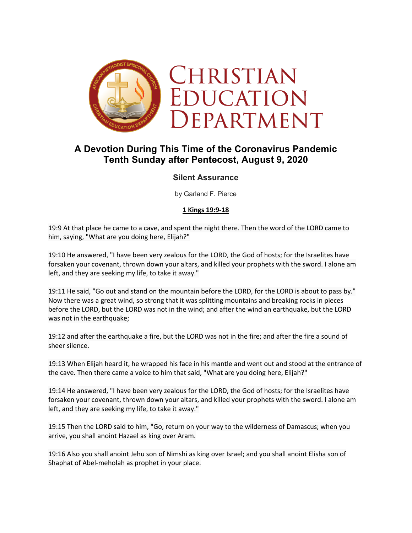

# **A Devotion During This Time of the Coronavirus Pandemic Tenth Sunday after Pentecost, August 9, 2020**

## **Silent Assurance**

by Garland F. Pierce

#### **1 Kings 19:9-18**

19:9 At that place he came to a cave, and spent the night there. Then the word of the LORD came to him, saying, "What are you doing here, Elijah?"

19:10 He answered, "I have been very zealous for the LORD, the God of hosts; for the Israelites have forsaken your covenant, thrown down your altars, and killed your prophets with the sword. I alone am left, and they are seeking my life, to take it away."

19:11 He said, "Go out and stand on the mountain before the LORD, for the LORD is about to pass by." Now there was a great wind, so strong that it was splitting mountains and breaking rocks in pieces before the LORD, but the LORD was not in the wind; and after the wind an earthquake, but the LORD was not in the earthquake;

19:12 and after the earthquake a fire, but the LORD was not in the fire; and after the fire a sound of sheer silence.

19:13 When Elijah heard it, he wrapped his face in his mantle and went out and stood at the entrance of the cave. Then there came a voice to him that said, "What are you doing here, Elijah?"

19:14 He answered, "I have been very zealous for the LORD, the God of hosts; for the Israelites have forsaken your covenant, thrown down your altars, and killed your prophets with the sword. I alone am left, and they are seeking my life, to take it away."

19:15 Then the LORD said to him, "Go, return on your way to the wilderness of Damascus; when you arrive, you shall anoint Hazael as king over Aram.

19:16 Also you shall anoint Jehu son of Nimshi as king over Israel; and you shall anoint Elisha son of Shaphat of Abel-meholah as prophet in your place.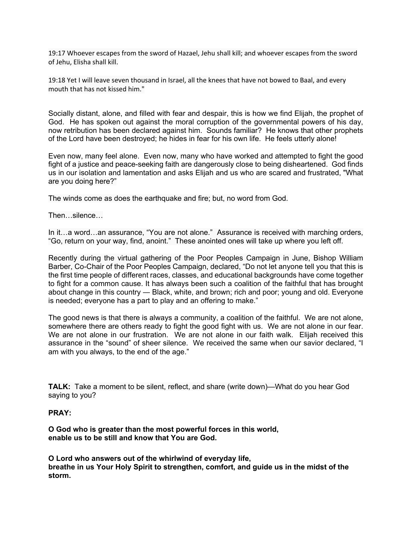19:17 Whoever escapes from the sword of Hazael, Jehu shall kill; and whoever escapes from the sword of Jehu, Elisha shall kill.

19:18 Yet I will leave seven thousand in Israel, all the knees that have not bowed to Baal, and every mouth that has not kissed him."

Socially distant, alone, and filled with fear and despair, this is how we find Elijah, the prophet of God. He has spoken out against the moral corruption of the governmental powers of his day, now retribution has been declared against him. Sounds familiar? He knows that other prophets of the Lord have been destroyed; he hides in fear for his own life. He feels utterly alone!

Even now, many feel alone. Even now, many who have worked and attempted to fight the good fight of a justice and peace-seeking faith are dangerously close to being disheartened. God finds us in our isolation and lamentation and asks Elijah and us who are scared and frustrated, "What are you doing here?"

The winds come as does the earthquake and fire; but, no word from God.

Then…silence…

In it…a word…an assurance, "You are not alone." Assurance is received with marching orders, "Go, return on your way, find, anoint." These anointed ones will take up where you left off.

Recently during the virtual gathering of the Poor Peoples Campaign in June, Bishop William Barber, Co-Chair of the Poor Peoples Campaign, declared, "Do not let anyone tell you that this is the first time people of different races, classes, and educational backgrounds have come together to fight for a common cause. It has always been such a coalition of the faithful that has brought about change in this country ― Black, white, and brown; rich and poor; young and old. Everyone is needed; everyone has a part to play and an offering to make."

The good news is that there is always a community, a coalition of the faithful. We are not alone, somewhere there are others ready to fight the good fight with us. We are not alone in our fear. We are not alone in our frustration. We are not alone in our faith walk. Elijah received this assurance in the "sound" of sheer silence. We received the same when our savior declared, "I am with you always, to the end of the age."

**TALK:** Take a moment to be silent, reflect, and share (write down)—What do you hear God saying to you?

#### **PRAY:**

**O God who is greater than the most powerful forces in this world, enable us to be still and know that You are God.**

**O Lord who answers out of the whirlwind of everyday life, breathe in us Your Holy Spirit to strengthen, comfort, and guide us in the midst of the storm.**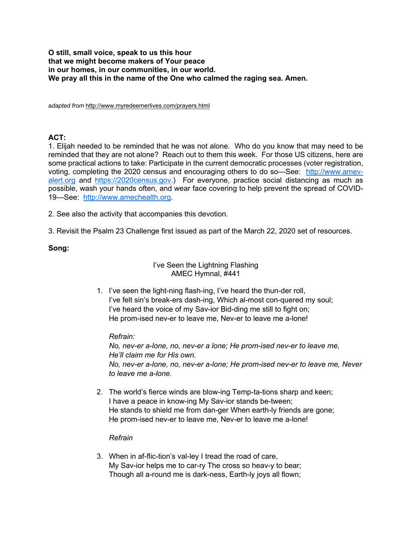#### **O still, small voice, speak to us this hour that we might become makers of Your peace in our homes, in our communities, in our world. We pray all this in the name of the One who calmed the raging sea. Amen.**

a*dapted from* http://www.myredeemerlives.com/prayers.html

## **ACT:**

1. Elijah needed to be reminded that he was not alone. Who do you know that may need to be reminded that they are not alone? Reach out to them this week. For those US citizens, here are some practical actions to take: Participate in the current democratic processes (voter registration, voting, completing the 2020 census and encouraging others to do so—See: http://www.amevalert.org and https://2020census.gov.) For everyone, practice social distancing as much as possible, wash your hands often, and wear face covering to help prevent the spread of COVID-19—See: http://www.amechealth.org.

2. See also the activity that accompanies this devotion.

3. Revisit the Psalm 23 Challenge first issued as part of the March 22, 2020 set of resources.

## **Song:**

#### I've Seen the Lightning Flashing AMEC Hymnal, #441

1. I've seen the light-ning flash-ing, I've heard the thun-der roll, I've felt sin's break-ers dash-ing, Which al-most con-quered my soul; I've heard the voice of my Sav-ior Bid-ding me still to fight on; He prom-ised nev-er to leave me, Nev-er to leave me a-lone!

## *Refrain:*

*No, nev-er a-lone, no, nev-er a lone; He prom-ised nev-er to leave me, He'll claim me for His own. No, nev-er a-lone, no, nev-er a-lone; He prom-ised nev-er to leave me, Never to leave me a-lone.*

2. The world's fierce winds are blow-ing Temp-ta-tions sharp and keen; I have a peace in know-ing My Sav-ior stands be-tween; He stands to shield me from dan-ger When earth-ly friends are gone; He prom-ised nev-er to leave me, Nev-er to leave me a-lone!

## *Refrain*

3. When in af-flic-tion's val-ley I tread the road of care, My Sav-ior helps me to car-ry The cross so heav-y to bear; Though all a-round me is dark-ness, Earth-ly joys all flown;